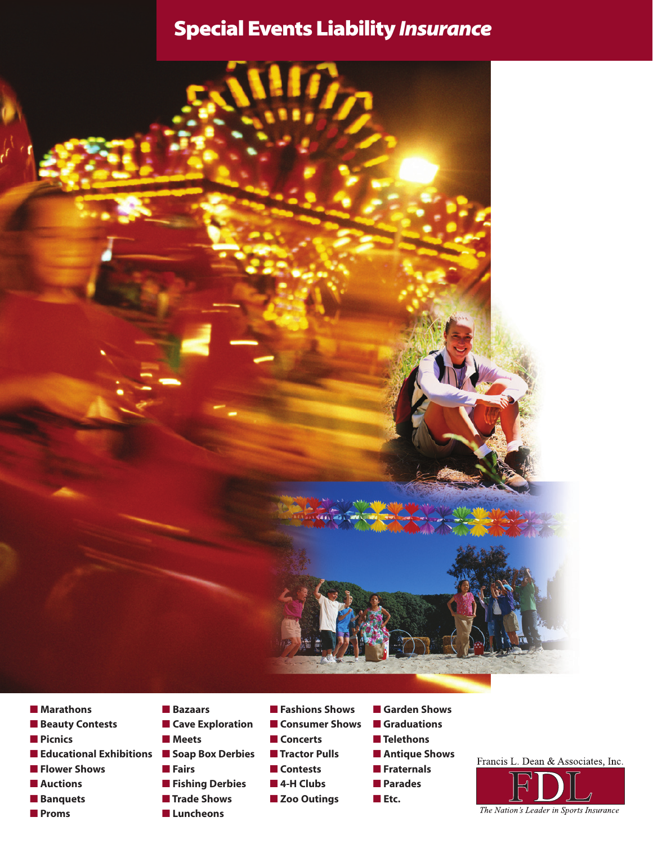# **Special Events Liability** *Insurance*



- **Marathons**
- **Beauty Contests**
- **Picnics**
- **Educational Exhibitions Soap Box Derbies**
- **Flower Shows**
- **Auctions**
- **Banquets**
- **Proms**
- **Bazaars**
- **Cave Exploration**
- **Meets**
	-
	- **Fairs** ■ **Fishing Derbies**
	- **Trade Shows**
	- **Luncheons**
- **Fashions Shows**
- **Consumer Shows**
- **Concerts**
- **Tractor Pulls**
- **Contests**
- **4-H Clubs**
	- Zoo Outings
- **Garden Shows** ■ **Graduations** ■ **Telethons** ■ **Antique Shows** ■ **Fraternals** ■ **Parades**

■ **Etc.**

Francis L. Dean & Associates, Inc.

The Nation's Leader in Sports Insurance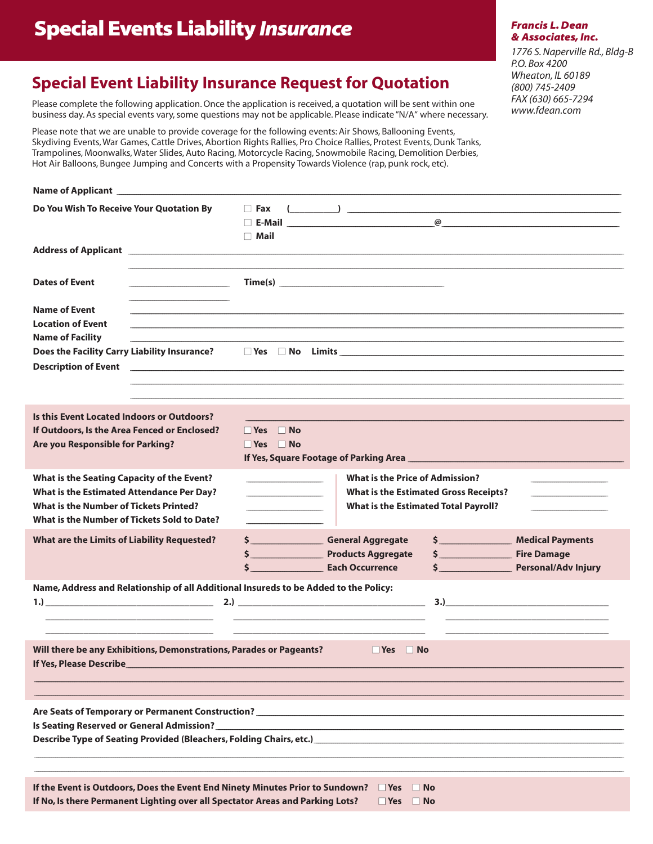# **Special Events Liability Insurance**

### **Francis L. Dean** & Associates, Inc.

1776 S. Naperville Rd., Bldg-B P.O. Box 4200 Wheaton, IL 60189 (800) 745-2409 FAX (630) 665-7294 www.fdean.com

### **Special Event Liability Insurance Request for Quotation**

Please complete the following application. Once the application is received, a quotation will be sent within one business day. As special events vary, some questions may not be applicable. Please indicate "N/A" where necessary.

Please note that we are unable to provide coverage for the following events: Air Shows, Ballooning Events, Skydiving Events, War Games, Cattle Drives, Abortion Rights Rallies, Pro Choice Rallies, Protest Events, Dunk Tanks, Trampolines, Moonwalks, Water Slides, Auto Racing, Motorcycle Racing, Snowmobile Racing, Demolition Derbies, Hot Air Balloons, Bungee Jumping and Concerts with a Propensity Towards Violence (rap, punk rock, etc).

| Name of Applicant _                                                                                                                                                                                            |                                                                                                                                                                                                                                                                                        |  |  |  |  |  |  |  |
|----------------------------------------------------------------------------------------------------------------------------------------------------------------------------------------------------------------|----------------------------------------------------------------------------------------------------------------------------------------------------------------------------------------------------------------------------------------------------------------------------------------|--|--|--|--|--|--|--|
| Do You Wish To Receive Your Quotation By                                                                                                                                                                       | $\Box$ Fax<br>$\left(\begin{array}{cc} \begin{array}{cc} \end{array}\\ \end{array}\right)$<br>□ E-Mail _____________________________<br>$\circledcirc$<br>$\Box$ Mail                                                                                                                  |  |  |  |  |  |  |  |
|                                                                                                                                                                                                                |                                                                                                                                                                                                                                                                                        |  |  |  |  |  |  |  |
| <b>Dates of Event</b><br>the control of the control of the control of the                                                                                                                                      | Time(s)                                                                                                                                                                                                                                                                                |  |  |  |  |  |  |  |
| <b>Name of Event</b><br><b>Location of Event</b><br><b>Name of Facility</b><br><b>Description of Event</b>                                                                                                     |                                                                                                                                                                                                                                                                                        |  |  |  |  |  |  |  |
| <b>Is this Event Located Indoors or Outdoors?</b>                                                                                                                                                              |                                                                                                                                                                                                                                                                                        |  |  |  |  |  |  |  |
| If Outdoors, Is the Area Fenced or Enclosed?<br>Are you Responsible for Parking?                                                                                                                               | $\Box$ Yes $\Box$ No<br>$\Box$ Yes $\Box$ No                                                                                                                                                                                                                                           |  |  |  |  |  |  |  |
| <b>What is the Seating Capacity of the Event?</b><br><b>What is the Estimated Attendance Per Day?</b><br><b>What is the Number of Tickets Printed?</b><br>What is the Number of Tickets Sold to Date?          | <b>What is the Price of Admission?</b><br><u> 1980 - Johann Barn, fransk politik fotograf (</u><br><b>What is the Estimated Gross Receipts?</b><br><u> 1989 - Johann Barbara, martin a</u><br><b>What is the Estimated Total Payroll?</b><br>the control of the control of the control |  |  |  |  |  |  |  |
| <b>What are the Limits of Liability Requested?</b>                                                                                                                                                             | $\sim$<br>\$ General Aggregate<br><b>Medical Payments</b><br>\$ Products Aggregate<br>$\sim$<br><b>Fire Damage</b><br>\$<br><b>Personal/Adv Injury</b>                                                                                                                                 |  |  |  |  |  |  |  |
| Name, Address and Relationship of all Additional Insureds to be Added to the Policy:<br><u> 1989 - Johann John Harry Harry Harry Harry Harry Harry Harry Harry Harry Harry Harry Harry Harry Harry Harry H</u> | 3.)<br><u> 1989 - Johann John Stone, mars et al. (1989)</u>                                                                                                                                                                                                                            |  |  |  |  |  |  |  |
| Will there be any Exhibitions, Demonstrations, Parades or Pageants?<br><b>No. 19 Yes</b> No.<br>If Yes, Please Describe____                                                                                    |                                                                                                                                                                                                                                                                                        |  |  |  |  |  |  |  |
|                                                                                                                                                                                                                |                                                                                                                                                                                                                                                                                        |  |  |  |  |  |  |  |
| Is Seating Reserved or General Admission?_                                                                                                                                                                     |                                                                                                                                                                                                                                                                                        |  |  |  |  |  |  |  |
| If the Event is Outdoors, Does the Event End Ninety Minutes Prior to Sundown?<br>If No, Is there Permanent Lighting over all Spectator Areas and Parking Lots?                                                 | $\Box$ Yes<br><b>No</b><br>$\Box$ Yes $\Box$ No                                                                                                                                                                                                                                        |  |  |  |  |  |  |  |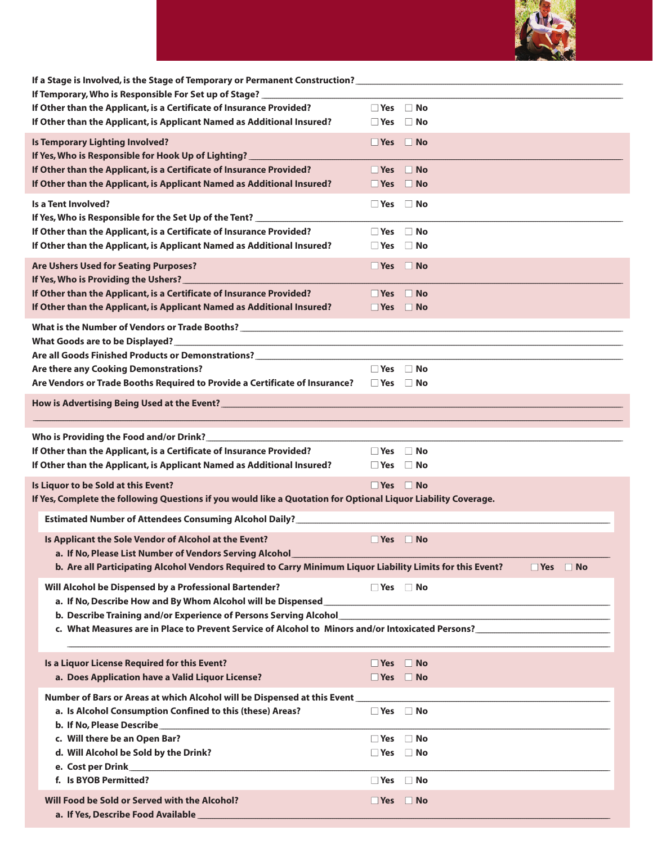

| If a Stage is Involved, is the Stage of Temporary or Permanent Construction? _________________________________ |  |                      |  |  |  |  |
|----------------------------------------------------------------------------------------------------------------|--|----------------------|--|--|--|--|
| If Temporary, Who is Responsible For Set up of Stage? ___________                                              |  |                      |  |  |  |  |
| If Other than the Applicant, is a Certificate of Insurance Provided?                                           |  | $\Box$ Yes $\Box$ No |  |  |  |  |
| If Other than the Applicant, is Applicant Named as Additional Insured?                                         |  | $\Box$ Yes $\Box$ No |  |  |  |  |
| <b>Is Temporary Lighting Involved?</b>                                                                         |  | $\Box$ Yes $\Box$ No |  |  |  |  |
| If Yes, Who is Responsible for Hook Up of Lighting? _                                                          |  |                      |  |  |  |  |
| If Other than the Applicant, is a Certificate of Insurance Provided?                                           |  | $\Box$ Yes $\Box$ No |  |  |  |  |
| If Other than the Applicant, is Applicant Named as Additional Insured?                                         |  | $\Box$ Yes $\Box$ No |  |  |  |  |
| <b>Is a Tent Involved?</b>                                                                                     |  | $\Box$ Yes $\Box$ No |  |  |  |  |
| If Yes, Who is Responsible for the Set Up of the Tent? _______                                                 |  |                      |  |  |  |  |
| If Other than the Applicant, is a Certificate of Insurance Provided?                                           |  | $\Box$ Yes $\Box$ No |  |  |  |  |
| If Other than the Applicant, is Applicant Named as Additional Insured?                                         |  | $\Box$ Yes $\Box$ No |  |  |  |  |
|                                                                                                                |  |                      |  |  |  |  |
| <b>Are Ushers Used for Seating Purposes?</b>                                                                   |  | $\Box$ Yes $\Box$ No |  |  |  |  |
| If Yes, Who is Providing the Ushers?                                                                           |  |                      |  |  |  |  |
| If Other than the Applicant, is a Certificate of Insurance Provided?                                           |  | $\Box$ Yes $\Box$ No |  |  |  |  |
| If Other than the Applicant, is Applicant Named as Additional Insured?                                         |  | $\Box$ Yes $\Box$ No |  |  |  |  |
|                                                                                                                |  |                      |  |  |  |  |
|                                                                                                                |  |                      |  |  |  |  |
| Are all Goods Finished Products or Demonstrations? _____________________________                               |  |                      |  |  |  |  |
| Are there any Cooking Demonstrations?                                                                          |  | $\Box$ Yes $\Box$ No |  |  |  |  |
| Are Vendors or Trade Booths Required to Provide a Certificate of Insurance? $\Box$ Yes $\Box$ No               |  |                      |  |  |  |  |
| How is Advertising Being Used at the Event?                                                                    |  |                      |  |  |  |  |
|                                                                                                                |  |                      |  |  |  |  |
|                                                                                                                |  |                      |  |  |  |  |
| Who is Providing the Food and/or Drink?________________                                                        |  |                      |  |  |  |  |
| If Other than the Applicant, is a Certificate of Insurance Provided?                                           |  | $\Box$ Yes $\Box$ No |  |  |  |  |
|                                                                                                                |  |                      |  |  |  |  |
| If Other than the Applicant, is Applicant Named as Additional Insured?                                         |  | $\Box$ Yes $\Box$ No |  |  |  |  |
| Is Liquor to be Sold at this Event?                                                                            |  | $\Box$ Yes $\Box$ No |  |  |  |  |
| If Yes, Complete the following Questions if you would like a Quotation for Optional Liquor Liability Coverage. |  |                      |  |  |  |  |
| <b>Estimated Number of Attendees Consuming Alcohol Daily?</b>                                                  |  |                      |  |  |  |  |
|                                                                                                                |  |                      |  |  |  |  |
| Is Applicant the Sole Vendor of Alcohol at the Event?                                                          |  | $\Box$ Yes $\Box$ No |  |  |  |  |
| a. If No, Please List Number of Vendors Serving Alcohol_                                                       |  |                      |  |  |  |  |
| b. Are all Participating Alcohol Vendors Required to Carry Minimum Liquor Liability Limits for this Event?     |  | $\Box$ Yes $\Box$ No |  |  |  |  |
| Will Alcohol be Dispensed by a Professional Bartender?                                                         |  | $\Box$ Yes $\Box$ No |  |  |  |  |
|                                                                                                                |  |                      |  |  |  |  |
|                                                                                                                |  |                      |  |  |  |  |
|                                                                                                                |  |                      |  |  |  |  |
|                                                                                                                |  |                      |  |  |  |  |
| Is a Liquor License Required for this Event?                                                                   |  | $\Box$ Yes $\Box$ No |  |  |  |  |
| a. Does Application have a Valid Liquor License?                                                               |  | $\Box$ Yes $\Box$ No |  |  |  |  |
|                                                                                                                |  |                      |  |  |  |  |
| Number of Bars or Areas at which Alcohol will be Dispensed at this Event_                                      |  |                      |  |  |  |  |
| a. Is Alcohol Consumption Confined to this (these) Areas?                                                      |  | $\Box$ Yes $\Box$ No |  |  |  |  |
|                                                                                                                |  |                      |  |  |  |  |
| c. Will there be an Open Bar?                                                                                  |  | $\Box$ Yes $\Box$ No |  |  |  |  |
| d. Will Alcohol be Sold by the Drink?                                                                          |  | $\Box$ Yes $\Box$ No |  |  |  |  |
| f. Is BYOB Permitted?                                                                                          |  | $\Box$ Yes $\Box$ No |  |  |  |  |
|                                                                                                                |  |                      |  |  |  |  |
| Will Food be Sold or Served with the Alcohol?<br>a. If Yes, Describe Food Available                            |  | $\Box$ Yes $\Box$ No |  |  |  |  |

I